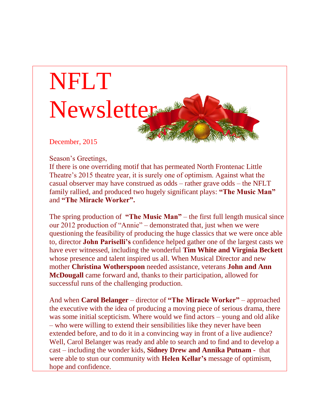

December, 2015

Season's Greetings,

If there is one overriding motif that has permeated North Frontenac Little Theatre's 2015 theatre year, it is surely one of optimism. Against what the casual observer may have construed as odds – rather grave odds – the NFLT family rallied, and produced two hugely significant plays: **"The Music Man"** and **"The Miracle Worker".**

The spring production of **"The Music Man"** – the first full length musical since our 2012 production of "Annie" – demonstrated that, just when we were questioning the feasibility of producing the huge classics that we were once able to, director **John Pariselli's** confidence helped gather one of the largest casts we have ever witnessed, including the wonderful **Tim White and Virginia Beckett** whose presence and talent inspired us all. When Musical Director and new mother **Christina Wotherspoon** needed assistance, veterans **John and Ann McDougall** came forward and, thanks to their participation, allowed for successful runs of the challenging production.

And when **Carol Belanger** – director of **"The Miracle Worker"** – approached the executive with the idea of producing a moving piece of serious drama, there was some initial scepticism. Where would we find actors – young and old alike – who were willing to extend their sensibilities like they never have been extended before, and to do it in a convincing way in front of a live audience? Well, Carol Belanger was ready and able to search and to find and to develop a cast – including the wonder kids, **Sidney Drew and Annika Putnam** - that were able to stun our community with **Helen Kellar's** message of optimism, hope and confidence.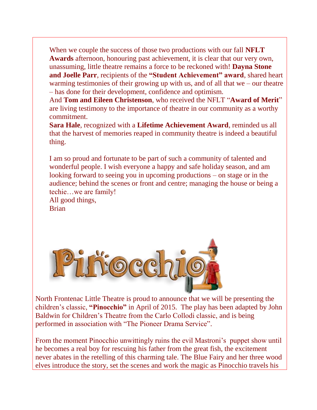When we couple the success of those two productions with our fall **NFLT Awards** afternoon, honouring past achievement, it is clear that our very own, unassuming, little theatre remains a force to be reckoned with! **Dayna Stone and Joelle Parr**, recipients of the **"Student Achievement" award**, shared heart warming testimonies of their growing up with us, and of all that we – our theatre – has done for their development, confidence and optimism.

And **Tom and Eileen Christenson**, who received the NFLT "**Award of Merit**" are living testimony to the importance of theatre in our community as a worthy commitment.

**Sara Hale**, recognized with a **Lifetime Achievement Award**, reminded us all that the harvest of memories reaped in community theatre is indeed a beautiful thing.

I am so proud and fortunate to be part of such a community of talented and wonderful people. I wish everyone a happy and safe holiday season, and am looking forward to seeing you in upcoming productions – on stage or in the audience; behind the scenes or front and centre; managing the house or being a techie…we are family!

All good things, **Brian** 



North Frontenac Little Theatre is proud to announce that we will be presenting the children's classic, **"Pinocchio"** in April of 2015. The play has been adapted by John Baldwin for Children's Theatre from the Carlo Collodi classic, and is being performed in association with "The Pioneer Drama Service".

From the moment Pinocchio unwittingly ruins the evil Mastroni's puppet show until he becomes a real boy for rescuing his father from the great fish, the excitement never abates in the retelling of this charming tale. The Blue Fairy and her three wood elves introduce the story, set the scenes and work the magic as Pinocchio travels his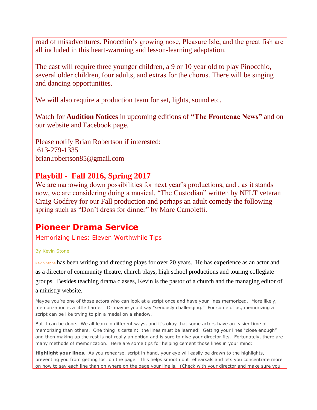road of misadventures. Pinocchio's growing nose, Pleasure Isle, and the great fish are all included in this heart-warming and lesson-learning adaptation.

The cast will require three younger children, a 9 or 10 year old to play Pinocchio, several older children, four adults, and extras for the chorus. There will be singing and dancing opportunities.

We will also require a production team for set, lights, sound etc.

Watch for **Audition Notices** in upcoming editions of **"The Frontenac News"** and on our website and Facebook page.

Please notify Brian Robertson if interested: 613-279-1335 brian.robertson85@gmail.com

## **Playbill - Fall 2016, Spring 2017**

We are narrowing down possibilities for next year's productions, and , as it stands now, we are considering doing a musical, "The Custodian" written by NFLT veteran Craig Godfrey for our Fall production and perhaps an adult comedy the following spring such as "Don't dress for dinner" by Marc Camoletti.

## **Pioneer Drama Service**

Memorizing Lines: Eleven Worthwhile Tips

## By Kevin Stone

Kevin [Stone](http://www.pioneerdrama.com/AuthorDetail.asp?ac=STONEKEVIN) has been writing and directing plays for over 20 years. He has experience as an actor and as a director of community theatre, church plays, high school productions and touring collegiate groups. Besides teaching drama classes, Kevin is the pastor of a church and the managing editor of a ministry website.

Maybe you're one of those actors who can look at a script once and have your lines memorized. More likely, memorization is a little harder. Or maybe you'd say "seriously challenging." For some of us, memorizing a script can be like trying to pin a medal on a shadow.

But it can be done. We all learn in different ways, and it's okay that some actors have an easier time of memorizing than others. One thing is certain: the lines must be learned! Getting your lines "close enough" and then making up the rest is not really an option and is sure to give your director fits. Fortunately, there are many methods of memorization. Here are some tips for helping cement those lines in your mind:

**Highlight your lines.** As you rehearse, script in hand, your eye will easily be drawn to the highlights, preventing you from getting lost on the page. This helps smooth out rehearsals and lets you concentrate more on how to say each line than on where on the page your line is. (Check with your director and make sure you